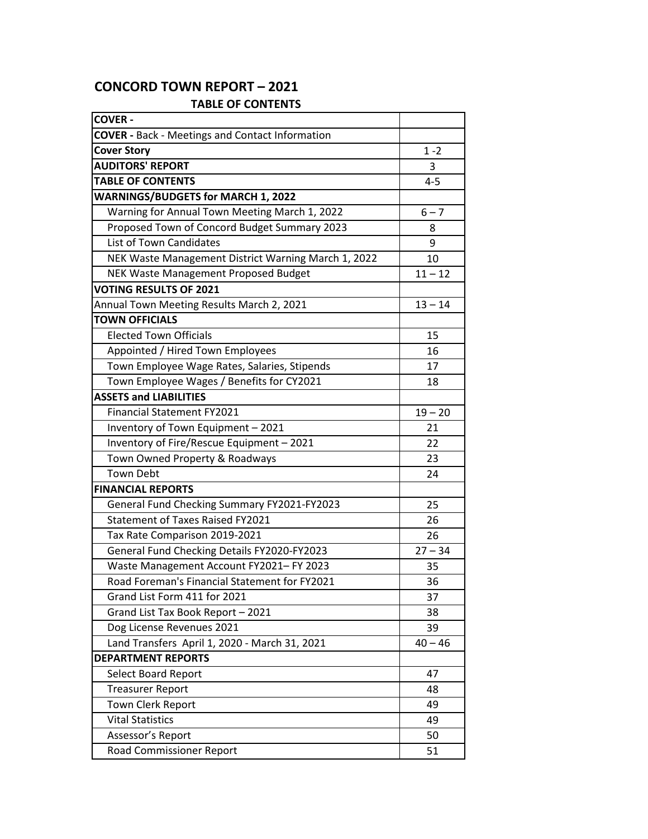## **CONCORD TOWN REPORT – 2021**

## **TABLE OF CONTENTS**

| <b>COVER -</b>                                         |           |
|--------------------------------------------------------|-----------|
| <b>COVER - Back - Meetings and Contact Information</b> |           |
| <b>Cover Story</b>                                     | $1 - 2$   |
| <b>AUDITORS' REPORT</b>                                | 3         |
| <b>TABLE OF CONTENTS</b>                               | $4 - 5$   |
| <b>WARNINGS/BUDGETS for MARCH 1, 2022</b>              |           |
| Warning for Annual Town Meeting March 1, 2022          | $6 - 7$   |
| Proposed Town of Concord Budget Summary 2023           | 8         |
| <b>List of Town Candidates</b>                         | 9         |
| NEK Waste Management District Warning March 1, 2022    | 10        |
| NEK Waste Management Proposed Budget                   | $11 - 12$ |
| <b>VOTING RESULTS OF 2021</b>                          |           |
| Annual Town Meeting Results March 2, 2021              | $13 - 14$ |
| <b>TOWN OFFICIALS</b>                                  |           |
| <b>Elected Town Officials</b>                          | 15        |
| Appointed / Hired Town Employees                       | 16        |
| Town Employee Wage Rates, Salaries, Stipends           | 17        |
| Town Employee Wages / Benefits for CY2021              | 18        |
| <b>ASSETS and LIABILITIES</b>                          |           |
| <b>Financial Statement FY2021</b>                      | $19 - 20$ |
| Inventory of Town Equipment - 2021                     | 21        |
| Inventory of Fire/Rescue Equipment - 2021              | 22        |
| Town Owned Property & Roadways                         | 23        |
| <b>Town Debt</b>                                       | 24        |
| <b>FINANCIAL REPORTS</b>                               |           |
| General Fund Checking Summary FY2021-FY2023            | 25        |
| <b>Statement of Taxes Raised FY2021</b>                | 26        |
| Tax Rate Comparison 2019-2021                          | 26        |
| General Fund Checking Details FY2020-FY2023            | $27 - 34$ |
| Waste Management Account FY2021- FY 2023               | 35        |
| Road Foreman's Financial Statement for FY2021          | 36        |
| Grand List Form 411 for 2021                           | 37        |
| Grand List Tax Book Report - 2021                      | 38        |
| Dog License Revenues 2021                              | 39        |
| Land Transfers April 1, 2020 - March 31, 2021          | $40 - 46$ |
| <b>DEPARTMENT REPORTS</b>                              |           |
| Select Board Report                                    | 47        |
| <b>Treasurer Report</b>                                | 48        |
| Town Clerk Report                                      | 49        |
| <b>Vital Statistics</b>                                | 49        |
| Assessor's Report                                      | 50        |
| Road Commissioner Report                               | 51        |